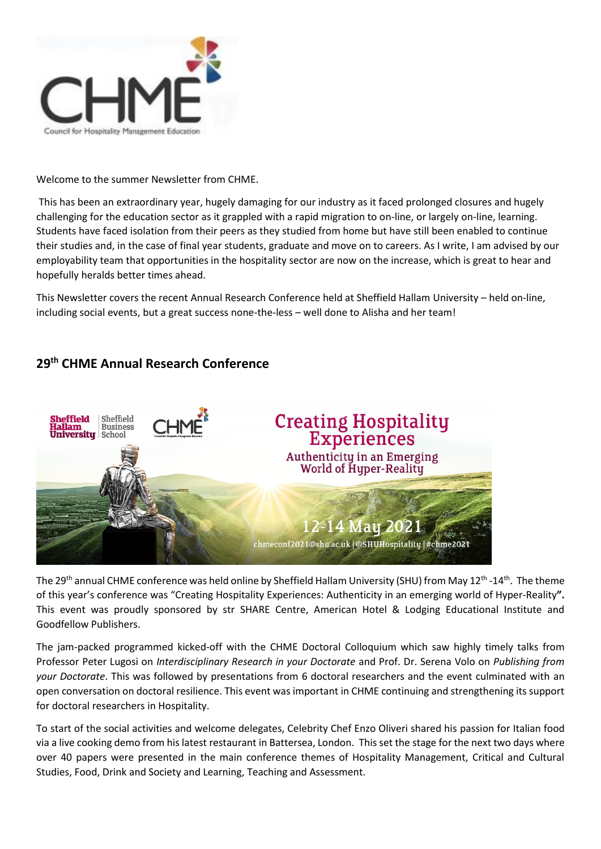

Welcome to the summer Newsletter from CHME.

This has been an extraordinary year, hugely damaging for our industry as it faced prolonged closures and hugely challenging for the education sector as it grappled with a rapid migration to on-line, or largely on-line, learning. Students have faced isolation from their peers as they studied from home but have still been enabled to continue their studies and, in the case of final year students, graduate and move on to careers. As I write, I am advised by our employability team that opportunities in the hospitality sector are now on the increase, which is great to hear and hopefully heralds better times ahead.

This Newsletter covers the recent Annual Research Conference held at Sheffield Hallam University – held on-line, including social events, but a great success none-the-less – well done to Alisha and her team!

# **29 th CHME Annual Research Conference**



The 29<sup>th</sup> annual CHME conference was held online by Sheffield Hallam University (SHU) from May 12<sup>th</sup> -14<sup>th</sup>. The theme of this year's conference was "Creating Hospitality Experiences: Authenticity in an emerging world of Hyper-Reality**".**  This event was proudly sponsored by str SHARE Centre, American Hotel & Lodging Educational Institute and Goodfellow Publishers.

The jam-packed programmed kicked-off with the CHME Doctoral Colloquium which saw highly timely talks from Professor Peter Lugosi on *Interdisciplinary Research in your Doctorate* and Prof. Dr. Serena Volo on *Publishing from your Doctorate*. This was followed by presentations from 6 doctoral researchers and the event culminated with an open conversation on doctoral resilience. This event was important in CHME continuing and strengthening its support for doctoral researchers in Hospitality.

To start of the social activities and welcome delegates, Celebrity Chef Enzo Oliveri shared his passion for Italian food via a live cooking demo from his latest restaurant in Battersea, London. This set the stage for the next two days where over 40 papers were presented in the main conference themes of Hospitality Management, Critical and Cultural Studies, Food, Drink and Society and Learning, Teaching and Assessment.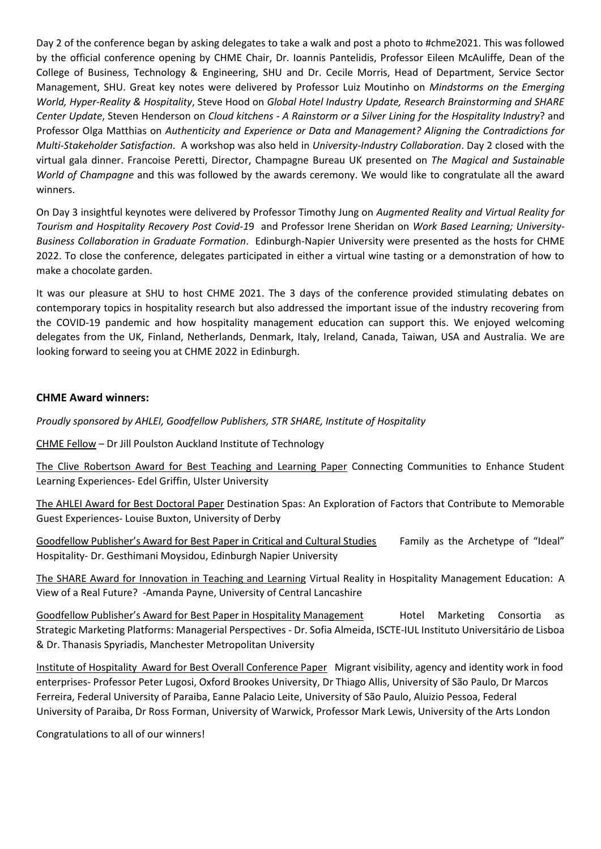Day 2 of the conference began by asking delegates to take a walk and post a photo to #chme2021. This was followed by the official conference opening by CHME Chair, Dr. Ioannis Pantelidis, Professor Eileen McAuliffe, Dean of the College of Business, Technology & Engineering, SHU and Dr. Cecile Morris, Head of Department, Service Sector Management, SHU. Great key notes were delivered by Professor Luiz Moutinho on *Mindstorms on the Emerging World, Hyper-Reality & Hospitality*, Steve Hood on *Global Hotel Industry Update, Research Brainstorming and SHARE Center Update*, Steven Henderson on *Cloud kitchens - A Rainstorm or a Silver Lining for the Hospitality Industry*? and Professor Olga Matthias on *Authenticity and Experience or Data and Management? Aligning the Contradictions for Multi-Stakeholder Satisfaction*. A workshop was also held in *University-Industry Collaboration*. Day 2 closed with the virtual gala dinner. Francoise Peretti, Director, Champagne Bureau UK presented on *The Magical and Sustainable World of Champagne* and this was followed by the awards ceremony. We would like to congratulate all the award winners.

On Day 3 insightful keynotes were delivered by Professor Timothy Jung on *Augmented Reality and Virtual Reality for Tourism and Hospitality Recovery Post Covid-1*9 and Professor Irene Sheridan on *Work Based Learning; University-Business Collaboration in Graduate Formation*. Edinburgh-Napier University were presented as the hosts for CHME 2022. To close the conference, delegates participated in either a virtual wine tasting or a demonstration of how to make a chocolate garden.

It was our pleasure at SHU to host CHME 2021. The 3 days of the conference provided stimulating debates on contemporary topics in hospitality research but also addressed the important issue of the industry recovering from the COVID-19 pandemic and how hospitality management education can support this. We enjoyed welcoming delegates from the UK, Finland, Netherlands, Denmark, Italy, Ireland, Canada, Taiwan, USA and Australia. We are looking forward to seeing you at CHME 2022 in Edinburgh.

#### **CHME Award winners:**

*Proudly sponsored by AHLEI, Goodfellow Publishers, STR SHARE, Institute of Hospitality*

CHME Fellow – Dr Jill Poulston Auckland Institute of Technology

The Clive Robertson Award for Best Teaching and Learning Paper Connecting Communities to Enhance Student Learning Experiences- Edel Griffin, Ulster University

The AHLEI Award for Best Doctoral Paper Destination Spas: An Exploration of Factors that Contribute to Memorable Guest Experiences- Louise Buxton, University of Derby

Goodfellow Publisher's Award for Best Paper in Critical and Cultural Studies Family as the Archetype of "Ideal" Hospitality- Dr. Gesthimani Moysidou, Edinburgh Napier University

The SHARE Award for Innovation in Teaching and Learning Virtual Reality in Hospitality Management Education: A View of a Real Future? -Amanda Payne, University of Central Lancashire

Goodfellow Publisher's Award for Best Paper in Hospitality Management Hotel Marketing Consortia as Strategic Marketing Platforms: Managerial Perspectives - Dr. Sofia Almeida, ISCTE-IUL Instituto Universitário de Lisboa & Dr. Thanasis Spyriadis, Manchester Metropolitan University

Institute of Hospitality Award for Best Overall Conference Paper Migrant visibility, agency and identity work in food enterprises- Professor Peter Lugosi, Oxford Brookes University, Dr Thiago Allis, University of São Paulo, Dr Marcos Ferreira, Federal University of Paraiba, Eanne Palacio Leite, University of São Paulo, Aluizio Pessoa, Federal University of Paraiba, Dr Ross Forman, University of Warwick, Professor Mark Lewis, University of the Arts London

Congratulations to all of our winners!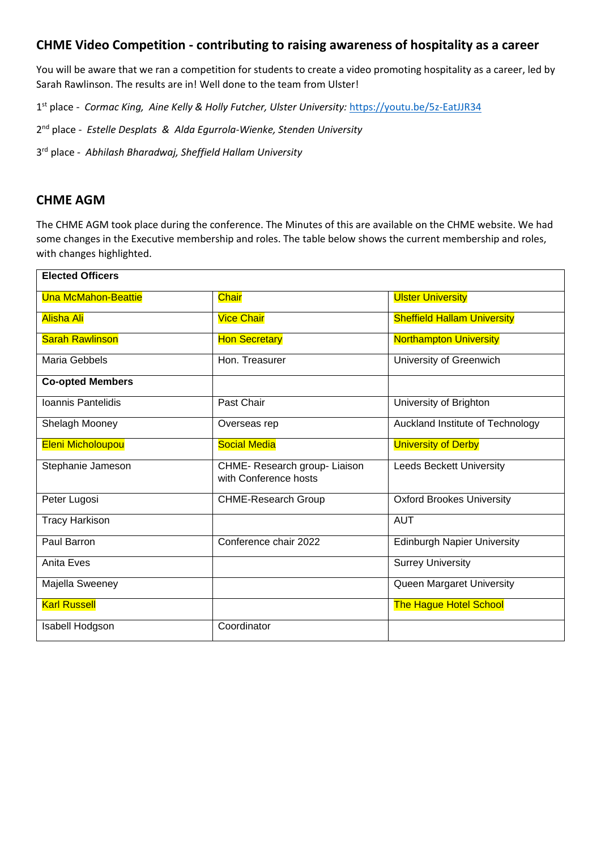## **CHME Video Competition - contributing to raising awareness of hospitality as a career**

You will be aware that we ran a competition for students to create a video promoting hospitality as a career, led by Sarah Rawlinson. The results are in! Well done to the team from Ulster!

1 st place - *Cormac King, Aine Kelly & Holly Futcher, Ulster University:* <https://youtu.be/5z-EatJJR34>

2 nd place - *Estelle Desplats & Alda Egurrola-Wienke, Stenden University*

3 rd place - *Abhilash Bharadwaj, Sheffield Hallam University*

### **CHME AGM**

The CHME AGM took place during the conference. The Minutes of this are available on the CHME website. We had some changes in the Executive membership and roles. The table below shows the current membership and roles, with changes highlighted.

| <b>Elected Officers</b>    |                                                        |                                    |
|----------------------------|--------------------------------------------------------|------------------------------------|
| <b>Una McMahon-Beattie</b> | <b>Chair</b>                                           | <b>Ulster University</b>           |
| <b>Alisha Ali</b>          | <b>Vice Chair</b>                                      | <b>Sheffield Hallam University</b> |
| <b>Sarah Rawlinson</b>     | <b>Hon Secretary</b>                                   | <b>Northampton University</b>      |
| Maria Gebbels              | Hon. Treasurer                                         | University of Greenwich            |
| <b>Co-opted Members</b>    |                                                        |                                    |
| Ioannis Pantelidis         | Past Chair                                             | University of Brighton             |
| Shelagh Mooney             | Overseas rep                                           | Auckland Institute of Technology   |
| Eleni Micholoupou          | <b>Social Media</b>                                    | <b>University of Derby</b>         |
| Stephanie Jameson          | CHME- Research group- Liaison<br>with Conference hosts | <b>Leeds Beckett University</b>    |
| Peter Lugosi               | <b>CHME-Research Group</b>                             | <b>Oxford Brookes University</b>   |
| <b>Tracy Harkison</b>      |                                                        | <b>AUT</b>                         |
| Paul Barron                | Conference chair 2022                                  | <b>Edinburgh Napier University</b> |
| Anita Eves                 |                                                        | <b>Surrey University</b>           |
| Majella Sweeney            |                                                        | Queen Margaret University          |
| <b>Karl Russell</b>        |                                                        | <b>The Hague Hotel School</b>      |
| Isabell Hodgson            | Coordinator                                            |                                    |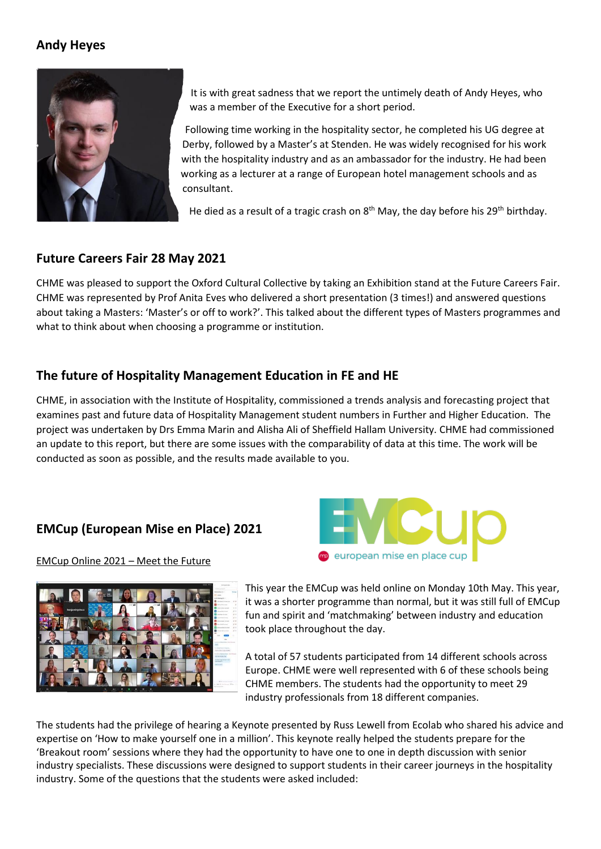## **Andy Heyes**



It is with great sadness that we report the untimely death of Andy Heyes, who was a member of the Executive for a short period.

Following time working in the hospitality sector, he completed his UG degree at Derby, followed by a Master's at Stenden. He was widely recognised for his work with the hospitality industry and as an ambassador for the industry. He had been working as a lecturer at a range of European hotel management schools and as consultant.

He died as a result of a tragic crash on  $8<sup>th</sup>$  May, the day before his 29<sup>th</sup> birthday.

## **Future Careers Fair 28 May 2021**

CHME was pleased to support the Oxford Cultural Collective by taking an Exhibition stand at the Future Careers Fair. CHME was represented by Prof Anita Eves who delivered a short presentation (3 times!) and answered questions about taking a Masters: 'Master's or off to work?'. This talked about the different types of Masters programmes and what to think about when choosing a programme or institution.

## **The future of Hospitality Management Education in FE and HE**

CHME, in association with the Institute of Hospitality, commissioned a trends analysis and forecasting project that examines past and future data of Hospitality Management student numbers in Further and Higher Education. The project was undertaken by Drs Emma Marin and Alisha Ali of Sheffield Hallam University. CHME had commissioned an update to this report, but there are some issues with the comparability of data at this time. The work will be conducted as soon as possible, and the results made available to you.

# **EMCup (European Mise en Place) 2021**



EMCup Online 2021 – Meet the Future



This year the EMCup was held online on Monday 10th May. This year, it was a shorter programme than normal, but it was still full of EMCup fun and spirit and 'matchmaking' between industry and education took place throughout the day.

A total of 57 students participated from 14 different schools across Europe. CHME were well represented with 6 of these schools being CHME members. The students had the opportunity to meet 29 industry professionals from 18 different companies.

The students had the privilege of hearing a Keynote presented by Russ Lewell from Ecolab who shared his advice and expertise on 'How to make yourself one in a million'. This keynote really helped the students prepare for the 'Breakout room' sessions where they had the opportunity to have one to one in depth discussion with senior industry specialists. These discussions were designed to support students in their career journeys in the hospitality industry. Some of the questions that the students were asked included: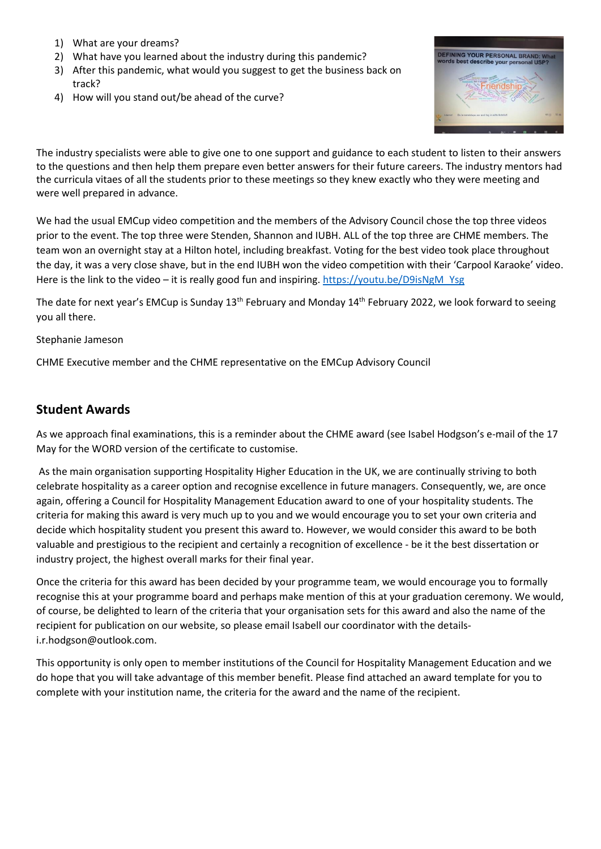- 1) What are your dreams?
- 2) What have you learned about the industry during this pandemic?
- 3) After this pandemic, what would you suggest to get the business back on track?
- 4) How will you stand out/be ahead of the curve?



The industry specialists were able to give one to one support and guidance to each student to listen to their answers to the questions and then help them prepare even better answers for their future careers. The industry mentors had the curricula vitaes of all the students prior to these meetings so they knew exactly who they were meeting and were well prepared in advance.

We had the usual EMCup video competition and the members of the Advisory Council chose the top three videos prior to the event. The top three were Stenden, Shannon and IUBH. ALL of the top three are CHME members. The team won an overnight stay at a Hilton hotel, including breakfast. Voting for the best video took place throughout the day, it was a very close shave, but in the end IUBH won the video competition with their 'Carpool Karaoke' video. Here is the link to the video – it is really good fun and inspiring. [https://youtu.be/D9isNgM\\_Ysg](https://youtu.be/D9isNgM_Ysg)

The date for next year's EMCup is Sunday 13<sup>th</sup> February and Monday 14<sup>th</sup> February 2022, we look forward to seeing you all there.

#### Stephanie Jameson

CHME Executive member and the CHME representative on the EMCup Advisory Council

#### **Student Awards**

As we approach final examinations, this is a reminder about the CHME award (see Isabel Hodgson's e-mail of the 17 May for the WORD version of the certificate to customise.

As the main organisation supporting Hospitality Higher Education in the UK, we are continually striving to both celebrate hospitality as a career option and recognise excellence in future managers. Consequently, we, are once again, offering a Council for Hospitality Management Education award to one of your hospitality students. The criteria for making this award is very much up to you and we would encourage you to set your own criteria and decide which hospitality student you present this award to. However, we would consider this award to be both valuable and prestigious to the recipient and certainly a recognition of excellence - be it the best dissertation or industry project, the highest overall marks for their final year.

Once the criteria for this award has been decided by your programme team, we would encourage you to formally recognise this at your programme board and perhaps make mention of this at your graduation ceremony. We would, of course, be delighted to learn of the criteria that your organisation sets for this award and also the name of the recipient for publication on our website, so please email Isabell our coordinator with the detailsi.r.hodgson@outlook.com.

This opportunity is only open to member institutions of the Council for Hospitality Management Education and we do hope that you will take advantage of this member benefit. Please find attached an award template for you to complete with your institution name, the criteria for the award and the name of the recipient.